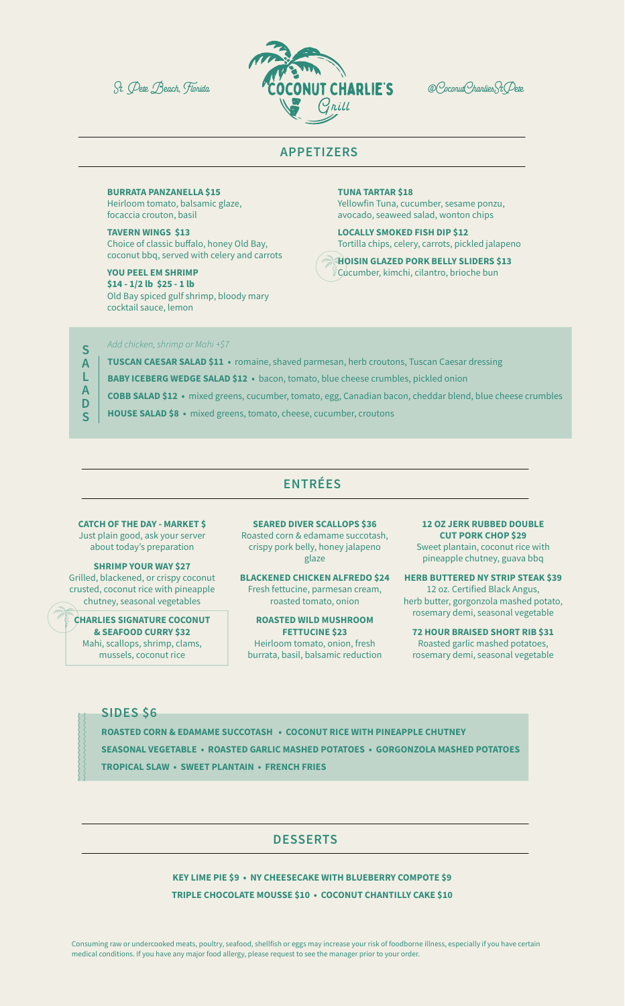

### **APPETIZERS**

### **BURRATA PANZANELLA \$15**

Heirloom tomato, balsamic glaze, focaccia crouton, basil

**TAVERN WINGS \$13** Choice of classic buffalo, honey Old Bay, coconut bbq, served with celery and carrots

**YOU PEEL EM SHRIMP \$14 - 1/2 lb \$25 - 1 lb** Old Bay spiced gulf shrimp, bloody mary cocktail sauce, lemon

**TUNA TARTAR \$18** Yellowfin Tuna, cucumber, sesame ponzu, avocado, seaweed salad, wonton chips

**LOCALLY SMOKED FISH DIP \$12** Tortilla chips, celery, carrots, pickled jalapeno

**HOISIN GLAZED PORK BELLY SLIDERS \$13** Cucumber, kimchi, cilantro, brioche bun

*Add chicken, shrimp or Mahi +\$7*

**SALADS**

 $\overline{\mathsf{S}}$  $\overline{A}$ L  $\overline{A}$ 

- **TUSCAN CAESAR SALAD \$11** romaine, shaved parmesan, herb croutons, Tuscan Caesar dressing
- **BABY ICEBERG WEDGE SALAD \$12** bacon, tomato, blue cheese crumbles, pickled onion
- **COBB SALAD \$12** mixed greens, cucumber, tomato, egg, Canadian bacon, cheddar blend, blue cheese crumbles
- D **HOUSE SALAD \$8 •** mixed greens, tomato, cheese, cucumber, croutons  $\overline{\mathsf{S}}$

## **ENTRÉES**

**CATCH OF THE DAY - MARKET \$** Just plain good, ask your server about today's preparation

**SHRIMP YOUR WAY \$27** Grilled, blackened, or crispy coconut crusted, coconut rice with pineapple chutney, seasonal vegetables

**CHARLIES SIGNATURE COCONUT & SEAFOOD CURRY \$32** Mahi, scallops, shrimp, clams, mussels, coconut rice

**SEARED DIVER SCALLOPS \$36** Roasted corn & edamame succotash, crispy pork belly, honey jalapeno glaze

**BLACKENED CHICKEN ALFREDO \$24** Fresh fettucine, parmesan cream, roasted tomato, onion

**ROASTED WILD MUSHROOM FETTUCINE \$23** Heirloom tomato, onion, fresh burrata, basil, balsamic reduction

**12 OZ JERK RUBBED DOUBLE CUT PORK CHOP \$29** Sweet plantain, coconut rice with pineapple chutney, guava bbq

**HERB BUTTERED NY STRIP STEAK \$39** 12 oz. Certified Black Angus, herb butter, gorgonzola mashed potato, rosemary demi, seasonal vegetable

**72 HOUR BRAISED SHORT RIB \$31** Roasted garlic mashed potatoes, rosemary demi, seasonal vegetable

### **SIDES \$6**

- **ROASTED CORN & EDAMAME SUCCOTASH COCONUT RICE WITH PINEAPPLE CHUTNEY SEASONAL VEGETABLE • ROASTED GARLIC MASHED POTATOES • GORGONZOLA MASHED POTATOES**
- **TROPICAL SLAW SWEET PLANTAIN FRENCH FRIES**

## **DESSERTS**

**KEY LIME PIE \$9 • NY CHEESECAKE WITH BLUEBERRY COMPOTE \$9 TRIPLE CHOCOLATE MOUSSE \$10 • COCONUT CHANTILLY CAKE \$10**

Consuming raw or undercooked meats, poultry, seafood, shellfish or eggs may increase your risk of foodborne illness, especially if you have certain medical conditions. If you have any major food allergy, please request to see the manager prior to your order.